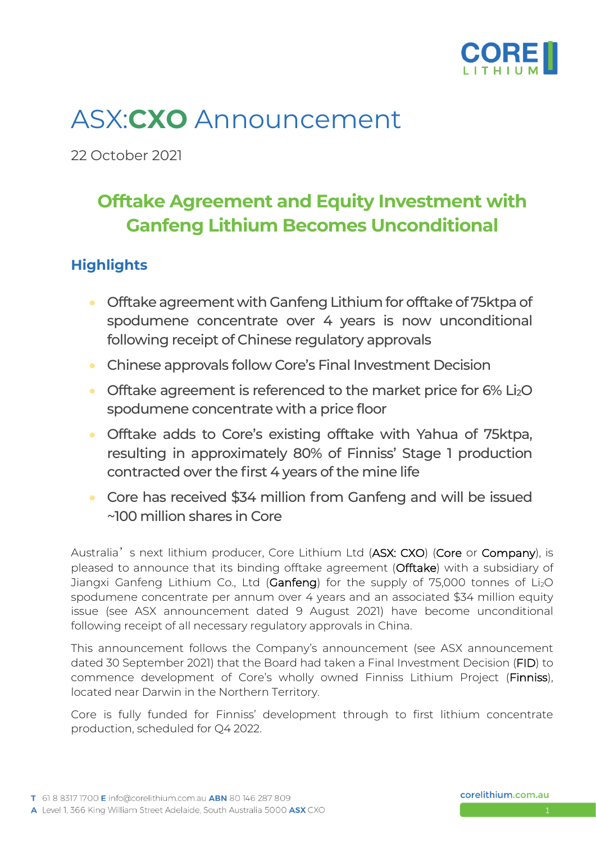

# ASX:**CXO** Announcement

22 October 2021

## **Offtake Agreement and Equity Investment with Ganfeng Lithium Becomes Unconditional**

### **Highlights**

- Offtake agreement with Ganfeng Lithium for offtake of 75ktpa of spodumene concentrate over 4 years is now unconditional following receipt of Chinese regulatory approvals
- Chinese approvals follow Core's Final Investment Decision
- Offtake agreement is referenced to the market price for 6% Li<sub>2</sub>O spodumene concentrate with a price floor
- Offtake adds to Core's existing offtake with Yahua of 75ktpa, resulting in approximately 80% of Finniss' Stage 1 production contracted over the first 4 years of the mine life
- Core has received \$34 million from Ganfeng and will be issued ~100 million shares in Core

Australia's next lithium producer, Core Lithium Ltd (ASX: CXO) (Core or Company), is pleased to announce that its binding offtake agreement (Offtake) with a subsidiary of Jiangxi Ganfeng Lithium Co., Ltd (Ganfeng) for the supply of 75,000 tonnes of Li<sub>2</sub>O spodumene concentrate per annum over 4 years and an associated \$34 million equity issue (see ASX announcement dated 9 August 2021) have become unconditional following receipt of all necessary regulatory approvals in China.

This announcement follows the Company's announcement (see ASX announcement dated 30 September 2021) that the Board had taken a Final Investment Decision (FID) to commence development of Core's wholly owned Finniss Lithium Project (Finniss), located near Darwin in the Northern Territory.

Core is fully funded for Finniss' development through to first lithium concentrate production, scheduled for Q4 2022.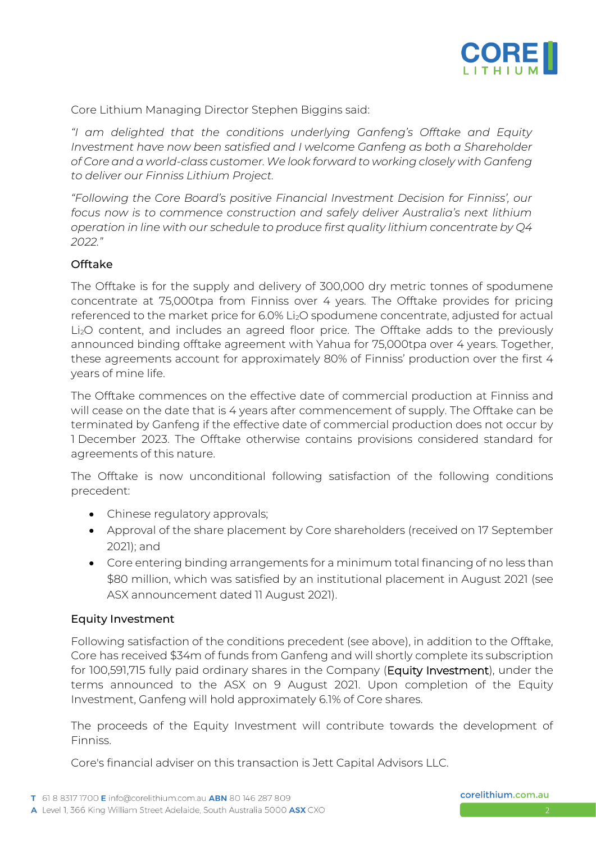

Core Lithium Managing Director Stephen Biggins said:

*"I am delighted that the conditions underlying Ganfeng's Offtake and Equity Investment have now been satisfied and I welcome Ganfeng as both a Shareholder of Core and a world-class customer.We look forward to working closely with Ganfeng to deliver our Finniss Lithium Project.*

*"Following the Core Board's positive Financial Investment Decision for Finniss', our focus now is to commence construction and safely deliver Australia's next lithium operation in line with our schedule to produce first quality lithium concentrate by Q4 2022."*

#### Offtake

The Offtake is for the supply and delivery of 300,000 dry metric tonnes of spodumene concentrate at 75,000tpa from Finniss over 4 years. The Offtake provides for pricing referenced to the market price for 6.0% Li<sub>2</sub>O spodumene concentrate, adjusted for actual Li2O content, and includes an agreed floor price. The Offtake adds to the previously announced binding offtake agreement with Yahua for 75,000tpa over 4 years. Together, these agreements account for approximately 80% of Finniss' production over the first 4 years of mine life.

The Offtake commences on the effective date of commercial production at Finniss and will cease on the date that is 4 years after commencement of supply. The Offtake can be terminated by Ganfeng if the effective date of commercial production does not occur by 1 December 2023. The Offtake otherwise contains provisions considered standard for agreements of this nature.

The Offtake is now unconditional following satisfaction of the following conditions precedent:

- Chinese regulatory approvals;
- Approval of the share placement by Core shareholders (received on 17 September 2021); and
- Core entering binding arrangements for a minimum total financing of no less than \$80 million, which was satisfied by an institutional placement in August 2021 (see ASX announcement dated 11 August 2021).

#### Equity Investment

Following satisfaction of the conditions precedent (see above), in addition to the Offtake, Core has received \$34m of funds from Ganfeng and will shortly complete its subscription for 100,591,715 fully paid ordinary shares in the Company (Equity Investment), under the terms announced to the ASX on 9 August 2021. Upon completion of the Equity Investment, Ganfeng will hold approximately 6.1% of Core shares.

The proceeds of the Equity Investment will contribute towards the development of Finniss.

Core's financial adviser on this transaction is Jett Capital Advisors LLC.